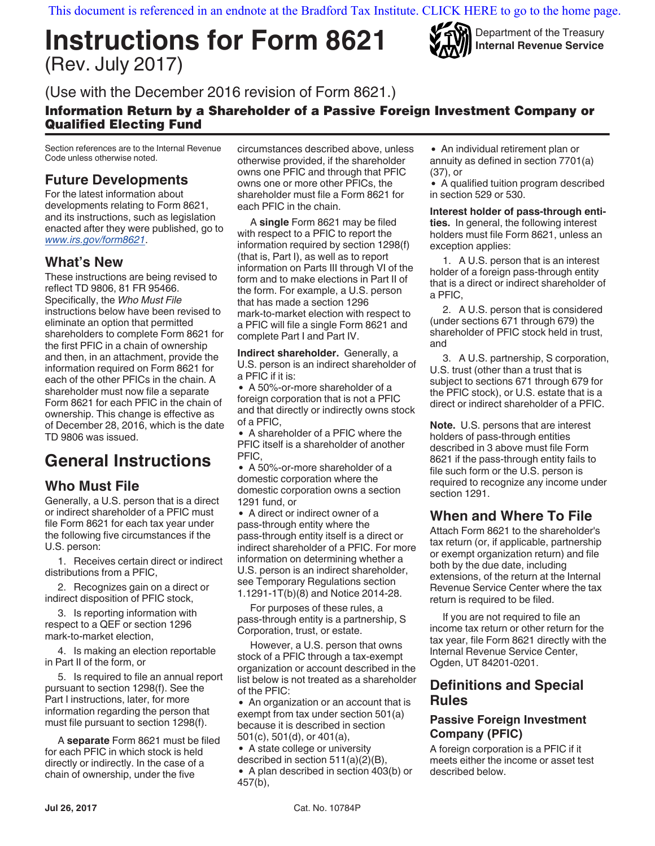# **Instructions for Form 8621** (Rev. July 2017)



Department of the Treasury **Internal Revenue Service**

(Use with the December 2016 revision of Form 8621.)

# Information Return by a Shareholder of a Passive Foreign Investment Company or Qualified Electing Fund

Section references are to the Internal Revenue Code unless otherwise noted.

# **Future Developments**

For the latest information about developments relating to Form 8621, and its instructions, such as legislation enacted after they were published, go to *[www.irs.gov/form8621](https://www.irs.gov/form8621)*.

# **What's New**

These instructions are being revised to reflect TD 9806, 81 FR 95466. Specifically, the *Who Must File*  instructions below have been revised to eliminate an option that permitted shareholders to complete Form 8621 for the first PFIC in a chain of ownership and then, in an attachment, provide the information required on Form 8621 for each of the other PFICs in the chain. A shareholder must now file a separate Form 8621 for each PFIC in the chain of ownership. This change is effective as of December 28, 2016, which is the date TD 9806 was issued.

# **General Instructions**

# **Who Must File**

Generally, a U.S. person that is a direct or indirect shareholder of a PFIC must file Form 8621 for each tax year under the following five circumstances if the U.S. person:

1. Receives certain direct or indirect distributions from a PFIC,

2. Recognizes gain on a direct or indirect disposition of PFIC stock,

3. Is reporting information with respect to a QEF or section 1296 mark-to-market election,

4. Is making an election reportable in Part II of the form, or

5. Is required to file an annual report pursuant to section 1298(f). See the Part I instructions, later, for more information regarding the person that must file pursuant to section 1298(f).

A **separate** Form 8621 must be filed for each PFIC in which stock is held directly or indirectly. In the case of a chain of ownership, under the five

circumstances described above, unless otherwise provided, if the shareholder owns one PFIC and through that PFIC owns one or more other PFICs, the shareholder must file a Form 8621 for each PFIC in the chain.

A **single** Form 8621 may be filed with respect to a PFIC to report the information required by section 1298(f) (that is, Part I), as well as to report information on Parts III through VI of the form and to make elections in Part II of the form. For example, a U.S. person that has made a section 1296 mark-to-market election with respect to a PFIC will file a single Form 8621 and complete Part I and Part IV.

**Indirect shareholder.** Generally, a U.S. person is an indirect shareholder of a PFIC if it is:

A 50%-or-more shareholder of a foreign corporation that is not a PFIC and that directly or indirectly owns stock of a PFIC,

A shareholder of a PFIC where the PFIC itself is a shareholder of another PFIC,

A 50%-or-more shareholder of a domestic corporation where the domestic corporation owns a section 1291 fund, or

• A direct or indirect owner of a pass-through entity where the pass-through entity itself is a direct or indirect shareholder of a PFIC. For more information on determining whether a U.S. person is an indirect shareholder, see Temporary Regulations section 1.1291-1T(b)(8) and Notice 2014-28.

For purposes of these rules, a pass-through entity is a partnership, S Corporation, trust, or estate.

However, a U.S. person that owns stock of a PFIC through a tax-exempt organization or account described in the list below is not treated as a shareholder of the PFIC:

• An organization or an account that is exempt from tax under section 501(a) because it is described in section 501(c), 501(d), or 401(a),

A state college or university described in section 511(a)(2)(B), • A plan described in section 403(b) or 457(b),

An individual retirement plan or annuity as defined in section 7701(a) (37), or

A qualified tuition program described in section 529 or 530.

**Interest holder of pass-through entities.** In general, the following interest holders must file Form 8621, unless an exception applies:

1. A U.S. person that is an interest holder of a foreign pass-through entity that is a direct or indirect shareholder of a PFIC,

2. A U.S. person that is considered (under sections 671 through 679) the shareholder of PFIC stock held in trust, and

3. A U.S. partnership, S corporation, U.S. trust (other than a trust that is subject to sections 671 through 679 for the PFIC stock), or U.S. estate that is a direct or indirect shareholder of a PFIC.

**Note.** U.S. persons that are interest holders of pass-through entities described in 3 above must file Form 8621 if the pass-through entity fails to file such form or the U.S. person is required to recognize any income under section 1291.

# **When and Where To File**

Attach Form 8621 to the shareholder's tax return (or, if applicable, partnership or exempt organization return) and file both by the due date, including extensions, of the return at the Internal Revenue Service Center where the tax return is required to be filed.

If you are not required to file an income tax return or other return for the tax year, file Form 8621 directly with the Internal Revenue Service Center, Ogden, UT 84201-0201.

# **Definitions and Special Rules**

# **Passive Foreign Investment Company (PFIC)**

A foreign corporation is a PFIC if it meets either the income or asset test described below.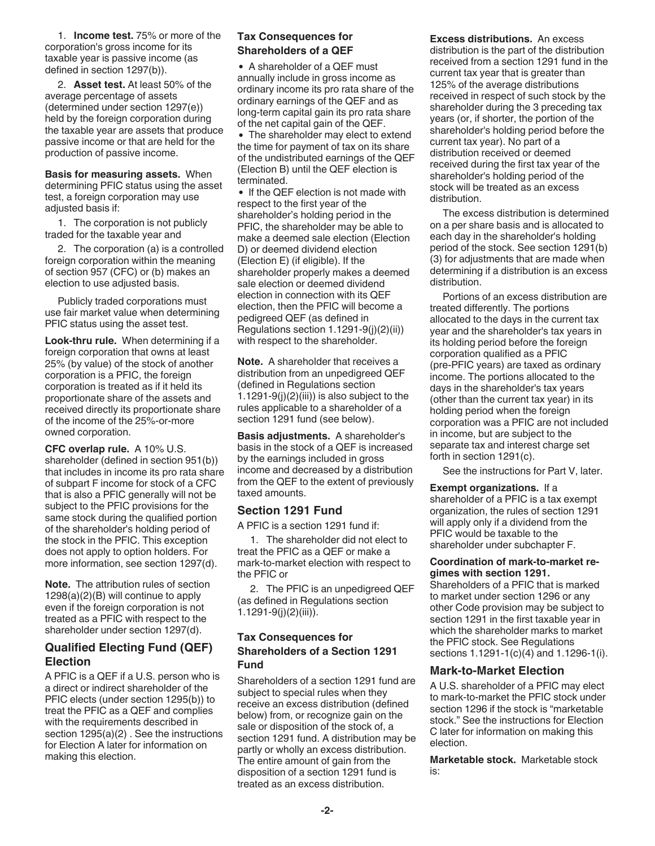1. **Income test.** 75% or more of the corporation's gross income for its taxable year is passive income (as defined in section 1297(b)).

2. **Asset test.** At least 50% of the average percentage of assets (determined under section 1297(e)) held by the foreign corporation during the taxable year are assets that produce passive income or that are held for the production of passive income.

**Basis for measuring assets.** When determining PFIC status using the asset test, a foreign corporation may use adjusted basis if:

1. The corporation is not publicly traded for the taxable year and

2. The corporation (a) is a controlled foreign corporation within the meaning of section 957 (CFC) or (b) makes an election to use adjusted basis.

Publicly traded corporations must use fair market value when determining PFIC status using the asset test.

**Look-thru rule.** When determining if a foreign corporation that owns at least 25% (by value) of the stock of another corporation is a PFIC, the foreign corporation is treated as if it held its proportionate share of the assets and received directly its proportionate share of the income of the 25%-or-more owned corporation.

**CFC overlap rule.** A 10% U.S. shareholder (defined in section 951(b)) that includes in income its pro rata share of subpart F income for stock of a CFC that is also a PFIC generally will not be subject to the PFIC provisions for the same stock during the qualified portion of the shareholder's holding period of the stock in the PFIC. This exception does not apply to option holders. For more information, see section 1297(d).

**Note.** The attribution rules of section 1298(a)(2)(B) will continue to apply even if the foreign corporation is not treated as a PFIC with respect to the shareholder under section 1297(d).

# **Qualified Electing Fund (QEF) Election**

A PFIC is a QEF if a U.S. person who is a direct or indirect shareholder of the PFIC elects (under section 1295(b)) to treat the PFIC as a QEF and complies with the requirements described in section  $1295(a)(2)$ . See the instructions for Election A later for information on making this election.

## **Tax Consequences for Shareholders of a QEF**

A shareholder of a QEF must annually include in gross income as ordinary income its pro rata share of the ordinary earnings of the QEF and as long-term capital gain its pro rata share of the net capital gain of the QEF.

The shareholder may elect to extend the time for payment of tax on its share of the undistributed earnings of the QEF (Election B) until the QEF election is terminated.

• If the QEF election is not made with respect to the first year of the shareholder's holding period in the PFIC, the shareholder may be able to make a deemed sale election (Election D) or deemed dividend election (Election E) (if eligible). If the shareholder properly makes a deemed sale election or deemed dividend election in connection with its QEF election, then the PFIC will become a pedigreed QEF (as defined in Regulations section 1.1291-9(j)(2)(ii)) with respect to the shareholder.

**Note.** A shareholder that receives a distribution from an unpedigreed QEF (defined in Regulations section  $1.1291-9(i)(2(iii))$  is also subject to the rules applicable to a shareholder of a section 1291 fund (see below).

**Basis adjustments.** A shareholder's basis in the stock of a QEF is increased by the earnings included in gross income and decreased by a distribution from the QEF to the extent of previously taxed amounts.

## **Section 1291 Fund**

A PFIC is a section 1291 fund if:

1. The shareholder did not elect to treat the PFIC as a QEF or make a mark-to-market election with respect to the PFIC or

2. The PFIC is an unpedigreed QEF (as defined in Regulations section 1.1291-9(j)(2)(iii)).

## **Tax Consequences for Shareholders of a Section 1291 Fund**

Shareholders of a section 1291 fund are subject to special rules when they receive an excess distribution (defined below) from, or recognize gain on the sale or disposition of the stock of, a section 1291 fund. A distribution may be partly or wholly an excess distribution. The entire amount of gain from the disposition of a section 1291 fund is treated as an excess distribution.

**Excess distributions.** An excess distribution is the part of the distribution received from a section 1291 fund in the current tax year that is greater than 125% of the average distributions received in respect of such stock by the shareholder during the 3 preceding tax years (or, if shorter, the portion of the shareholder's holding period before the current tax year). No part of a distribution received or deemed received during the first tax year of the shareholder's holding period of the stock will be treated as an excess distribution.

The excess distribution is determined on a per share basis and is allocated to each day in the shareholder's holding period of the stock. See section 1291(b) (3) for adjustments that are made when determining if a distribution is an excess distribution.

Portions of an excess distribution are treated differently. The portions allocated to the days in the current tax year and the shareholder's tax years in its holding period before the foreign corporation qualified as a PFIC (pre-PFIC years) are taxed as ordinary income. The portions allocated to the days in the shareholder's tax years (other than the current tax year) in its holding period when the foreign corporation was a PFIC are not included in income, but are subject to the separate tax and interest charge set forth in section 1291(c).

See the instructions for Part V, later.

**Exempt organizations.** If a shareholder of a PFIC is a tax exempt organization, the rules of section 1291 will apply only if a dividend from the PFIC would be taxable to the shareholder under subchapter F.

#### **Coordination of mark-to-market regimes with section 1291.**

Shareholders of a PFIC that is marked to market under section 1296 or any other Code provision may be subject to section 1291 in the first taxable year in which the shareholder marks to market the PFIC stock. See Regulations sections 1.1291-1(c)(4) and 1.1296-1(i).

## **Mark-to-Market Election**

A U.S. shareholder of a PFIC may elect to mark-to-market the PFIC stock under section 1296 if the stock is "marketable stock." See the instructions for Election C later for information on making this election.

**Marketable stock.** Marketable stock is: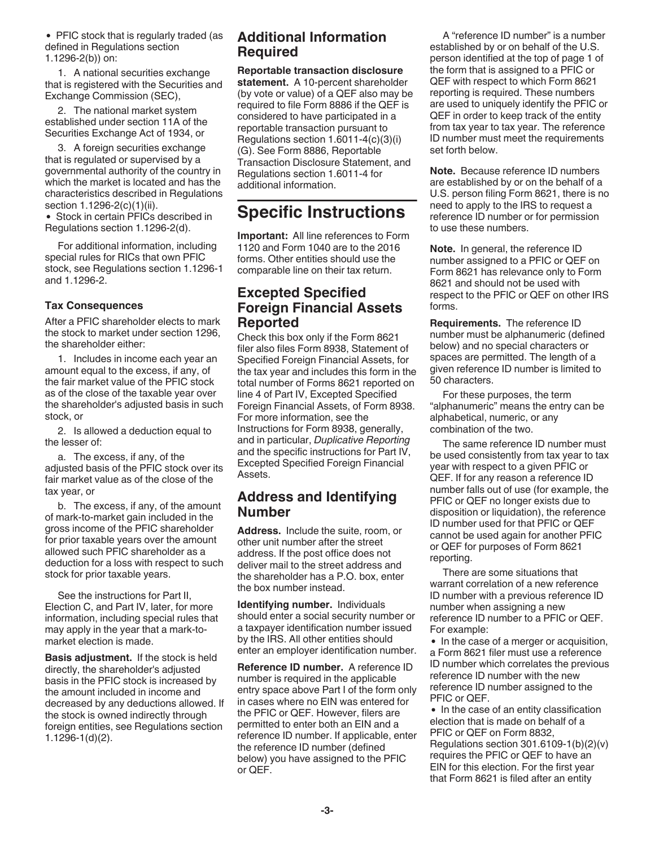• PFIC stock that is regularly traded (as defined in Regulations section 1.1296-2(b)) on:

1. A national securities exchange that is registered with the Securities and Exchange Commission (SEC),

2. The national market system established under section 11A of the Securities Exchange Act of 1934, or

3. A foreign securities exchange that is regulated or supervised by a governmental authority of the country in which the market is located and has the characteristics described in Regulations section 1.1296-2(c)(1)(ii).

Stock in certain PFICs described in Regulations section 1.1296-2(d).

For additional information, including special rules for RICs that own PFIC stock, see Regulations section 1.1296-1 and 1.1296-2.

#### **Tax Consequences**

After a PFIC shareholder elects to mark the stock to market under section 1296, the shareholder either:

1. Includes in income each year an amount equal to the excess, if any, of the fair market value of the PFIC stock as of the close of the taxable year over the shareholder's adjusted basis in such stock, or

2. Is allowed a deduction equal to the lesser of:

a. The excess, if any, of the adjusted basis of the PFIC stock over its fair market value as of the close of the tax year, or

b. The excess, if any, of the amount of mark-to-market gain included in the gross income of the PFIC shareholder for prior taxable years over the amount allowed such PFIC shareholder as a deduction for a loss with respect to such stock for prior taxable years.

See the instructions for Part II, Election C, and Part IV, later, for more information, including special rules that may apply in the year that a mark‐to‐ market election is made.

**Basis adjustment.** If the stock is held directly, the shareholder's adjusted basis in the PFIC stock is increased by the amount included in income and decreased by any deductions allowed. If the stock is owned indirectly through foreign entities, see Regulations section 1.1296-1(d)(2).

# **Additional Information Required**

**Reportable transaction disclosure statement.** A 10-percent shareholder (by vote or value) of a QEF also may be required to file Form 8886 if the QEF is considered to have participated in a reportable transaction pursuant to Regulations section 1.6011-4(c)(3)(i) (G). See Form 8886, Reportable Transaction Disclosure Statement, and Regulations section 1.6011-4 for additional information.

# **Specific Instructions**

**Important:** All line references to Form 1120 and Form 1040 are to the 2016 forms. Other entities should use the comparable line on their tax return.

# **Excepted Specified Foreign Financial Assets Reported**

Check this box only if the Form 8621 filer also files Form 8938, Statement of Specified Foreign Financial Assets, for the tax year and includes this form in the total number of Forms 8621 reported on line 4 of Part IV, Excepted Specified Foreign Financial Assets, of Form 8938. For more information, see the Instructions for Form 8938, generally, and in particular, *Duplicative Reporting*  and the specific instructions for Part IV, Excepted Specified Foreign Financial Assets.

# **Address and Identifying Number**

**Address.** Include the suite, room, or other unit number after the street address. If the post office does not deliver mail to the street address and the shareholder has a P.O. box, enter the box number instead.

**Identifying number.** Individuals should enter a social security number or a taxpayer identification number issued by the IRS. All other entities should enter an employer identification number.

**Reference ID number.** A reference ID number is required in the applicable entry space above Part I of the form only in cases where no EIN was entered for the PFIC or QEF. However, filers are permitted to enter both an EIN and a reference ID number. If applicable, enter the reference ID number (defined below) you have assigned to the PFIC or QEF.

A "reference ID number" is a number established by or on behalf of the U.S. person identified at the top of page 1 of the form that is assigned to a PFIC or QEF with respect to which Form 8621 reporting is required. These numbers are used to uniquely identify the PFIC or QEF in order to keep track of the entity from tax year to tax year. The reference ID number must meet the requirements set forth below.

**Note.** Because reference ID numbers are established by or on the behalf of a U.S. person filing Form 8621, there is no need to apply to the IRS to request a reference ID number or for permission to use these numbers.

**Note.** In general, the reference ID number assigned to a PFIC or QEF on Form 8621 has relevance only to Form 8621 and should not be used with respect to the PFIC or QEF on other IRS forms.

**Requirements.** The reference ID number must be alphanumeric (defined below) and no special characters or spaces are permitted. The length of a given reference ID number is limited to 50 characters.

For these purposes, the term "alphanumeric" means the entry can be alphabetical, numeric, or any combination of the two.

The same reference ID number must be used consistently from tax year to tax year with respect to a given PFIC or QEF. If for any reason a reference ID number falls out of use (for example, the PFIC or QEF no longer exists due to disposition or liquidation), the reference ID number used for that PFIC or QEF cannot be used again for another PFIC or QEF for purposes of Form 8621 reporting.

There are some situations that warrant correlation of a new reference ID number with a previous reference ID number when assigning a new reference ID number to a PFIC or QEF. For example:

• In the case of a merger or acquisition, a Form 8621 filer must use a reference ID number which correlates the previous reference ID number with the new reference ID number assigned to the PFIC or QEF.

• In the case of an entity classification election that is made on behalf of a PFIC or QEF on Form 8832, Regulations section 301.6109-1(b)(2)(v) requires the PFIC or QEF to have an EIN for this election. For the first year that Form 8621 is filed after an entity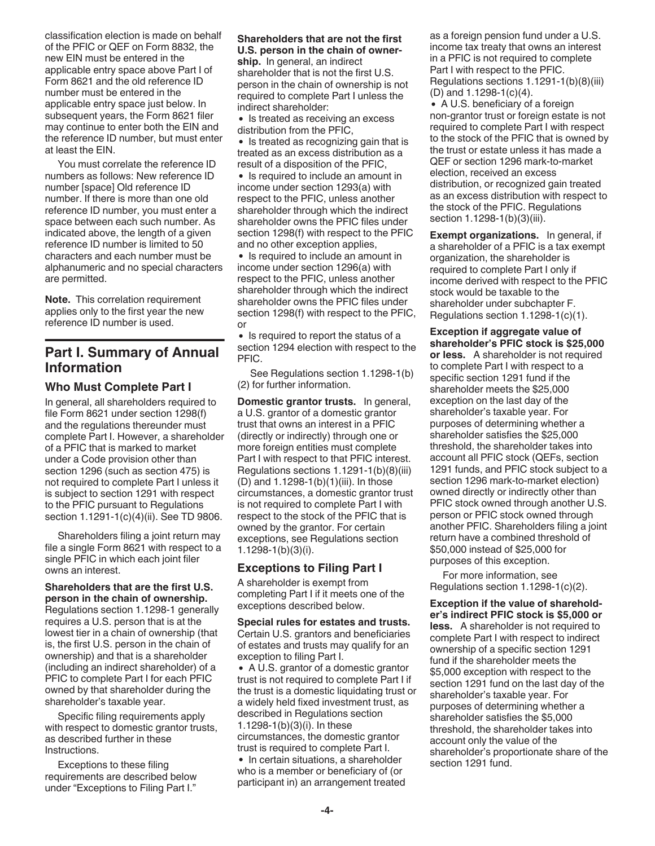classification election is made on behalf of the PFIC or QEF on Form 8832, the new EIN must be entered in the applicable entry space above Part I of Form 8621 and the old reference ID number must be entered in the applicable entry space just below. In subsequent years, the Form 8621 filer may continue to enter both the EIN and the reference ID number, but must enter at least the EIN.

You must correlate the reference ID numbers as follows: New reference ID number [space] Old reference ID number. If there is more than one old reference ID number, you must enter a space between each such number. As indicated above, the length of a given reference ID number is limited to 50 characters and each number must be alphanumeric and no special characters are permitted.

**Note.** This correlation requirement applies only to the first year the new reference ID number is used.

# **Part I. Summary of Annual Information**

# **Who Must Complete Part I**

In general, all shareholders required to file Form 8621 under section 1298(f) and the regulations thereunder must complete Part I. However, a shareholder of a PFIC that is marked to market under a Code provision other than section 1296 (such as section 475) is not required to complete Part I unless it is subject to section 1291 with respect to the PFIC pursuant to Regulations section 1.1291-1(c)(4)(ii). See TD 9806.

Shareholders filing a joint return may file a single Form 8621 with respect to a single PFIC in which each joint filer owns an interest.

**Shareholders that are the first U.S. person in the chain of ownership.**  Regulations section 1.1298-1 generally requires a U.S. person that is at the lowest tier in a chain of ownership (that is, the first U.S. person in the chain of ownership) and that is a shareholder (including an indirect shareholder) of a PFIC to complete Part I for each PFIC owned by that shareholder during the shareholder's taxable year.

Specific filing requirements apply with respect to domestic grantor trusts, as described further in these Instructions.

Exceptions to these filing requirements are described below under "Exceptions to Filing Part I."

#### **Shareholders that are not the first U.S. person in the chain of ownership.** In general, an indirect shareholder that is not the first U.S. person in the chain of ownership is not required to complete Part I unless the

indirect shareholder: • Is treated as receiving an excess distribution from the PFIC,

• Is treated as recognizing gain that is treated as an excess distribution as a result of a disposition of the PFIC,

• Is required to include an amount in income under section 1293(a) with respect to the PFIC, unless another shareholder through which the indirect shareholder owns the PFIC files under section 1298(f) with respect to the PFIC and no other exception applies,

• Is required to include an amount in income under section 1296(a) with respect to the PFIC, unless another shareholder through which the indirect shareholder owns the PFIC files under section 1298(f) with respect to the PFIC, or

• Is required to report the status of a section 1294 election with respect to the PFIC.

See Regulations section 1.1298-1(b) (2) for further information.

**Domestic grantor trusts.** In general, a U.S. grantor of a domestic grantor trust that owns an interest in a PFIC (directly or indirectly) through one or more foreign entities must complete Part I with respect to that PFIC interest. Regulations sections 1.1291-1(b)(8)(iii) (D) and 1.1298-1(b)(1)(iii). In those circumstances, a domestic grantor trust is not required to complete Part I with respect to the stock of the PFIC that is owned by the grantor. For certain exceptions, see Regulations section 1.1298-1(b)(3)(i).

# **Exceptions to Filing Part I**

A shareholder is exempt from completing Part I if it meets one of the exceptions described below.

**Special rules for estates and trusts.**  Certain U.S. grantors and beneficiaries of estates and trusts may qualify for an exception to filing Part I.

A U.S. grantor of a domestic grantor trust is not required to complete Part I if the trust is a domestic liquidating trust or a widely held fixed investment trust, as described in Regulations section 1.1298-1(b)(3)(i). In these circumstances, the domestic grantor trust is required to complete Part I.

• In certain situations, a shareholder who is a member or beneficiary of (or participant in) an arrangement treated as a foreign pension fund under a U.S. income tax treaty that owns an interest in a PFIC is not required to complete Part I with respect to the PFIC. Regulations sections 1.1291-1(b)(8)(iii) (D) and 1.1298-1(c)(4).

A U.S. beneficiary of a foreign non-grantor trust or foreign estate is not required to complete Part I with respect to the stock of the PFIC that is owned by the trust or estate unless it has made a QEF or section 1296 mark-to-market election, received an excess distribution, or recognized gain treated as an excess distribution with respect to the stock of the PFIC. Regulations section 1.1298-1(b)(3)(iii).

**Exempt organizations.** In general, if a shareholder of a PFIC is a tax exempt organization, the shareholder is required to complete Part I only if income derived with respect to the PFIC stock would be taxable to the shareholder under subchapter F. Regulations section 1.1298-1(c)(1).

**Exception if aggregate value of shareholder's PFIC stock is \$25,000 or less.** A shareholder is not required to complete Part I with respect to a specific section 1291 fund if the shareholder meets the \$25,000 exception on the last day of the shareholder's taxable year. For purposes of determining whether a shareholder satisfies the \$25,000 threshold, the shareholder takes into account all PFIC stock (QEFs, section 1291 funds, and PFIC stock subject to a section 1296 mark-to-market election) owned directly or indirectly other than PFIC stock owned through another U.S. person or PFIC stock owned through another PFIC. Shareholders filing a joint return have a combined threshold of \$50,000 instead of \$25,000 for purposes of this exception.

For more information, see Regulations section 1.1298-1(c)(2).

**Exception if the value of shareholder's indirect PFIC stock is \$5,000 or less.** A shareholder is not required to complete Part I with respect to indirect ownership of a specific section 1291 fund if the shareholder meets the \$5,000 exception with respect to the section 1291 fund on the last day of the shareholder's taxable year. For purposes of determining whether a shareholder satisfies the \$5,000 threshold, the shareholder takes into account only the value of the shareholder's proportionate share of the section 1291 fund.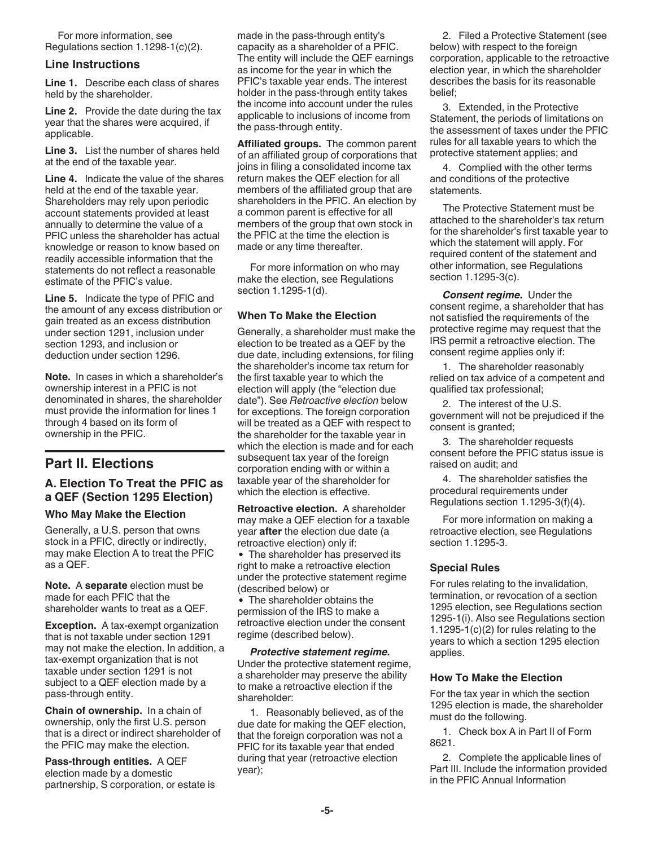For more information, see Regulations section 1.1298-1(c)(2).

#### **Line Instructions**

**Line 1.** Describe each class of shares held by the shareholder.

**Line 2.** Provide the date during the tax year that the shares were acquired, if applicable.

**Line 3.** List the number of shares held at the end of the taxable year.

**Line 4.** Indicate the value of the shares held at the end of the taxable year. Shareholders may rely upon periodic account statements provided at least annually to determine the value of a PFIC unless the shareholder has actual knowledge or reason to know based on readily accessible information that the statements do not reflect a reasonable estimate of the PFIC's value.

**Line 5.** Indicate the type of PFIC and the amount of any excess distribution or gain treated as an excess distribution under section 1291, inclusion under section 1293, and inclusion or deduction under section 1296.

**Note.** In cases in which a shareholder's ownership interest in a PFIC is not denominated in shares, the shareholder must provide the information for lines 1 through 4 based on its form of ownership in the PFIC.

# **Part II. Elections**

# **A. Election To Treat the PFIC as a QEF (Section 1295 Election)**

## **Who May Make the Election**

Generally, a U.S. person that owns stock in a PFIC, directly or indirectly, may make Election A to treat the PFIC as a QEF.

**Note.** A **separate** election must be made for each PFIC that the shareholder wants to treat as a QEF.

**Exception.** A tax-exempt organization that is not taxable under section 1291 may not make the election. In addition, a tax-exempt organization that is not taxable under section 1291 is not subject to a QEF election made by a pass-through entity.

**Chain of ownership.** In a chain of ownership, only the first U.S. person that is a direct or indirect shareholder of the PFIC may make the election.

**Pass-through entities.** A QEF election made by a domestic partnership, S corporation, or estate is made in the pass-through entity's capacity as a shareholder of a PFIC. The entity will include the QEF earnings as income for the year in which the PFIC's taxable year ends. The interest holder in the pass-through entity takes the income into account under the rules applicable to inclusions of income from the pass-through entity.

**Affiliated groups.** The common parent of an affiliated group of corporations that joins in filing a consolidated income tax return makes the QEF election for all members of the affiliated group that are shareholders in the PFIC. An election by a common parent is effective for all members of the group that own stock in the PFIC at the time the election is made or any time thereafter.

For more information on who may make the election, see Regulations section 1.1295-1(d).

#### **When To Make the Election**

Generally, a shareholder must make the election to be treated as a QEF by the due date, including extensions, for filing the shareholder's income tax return for the first taxable year to which the election will apply (the "election due date"). See *Retroactive election* below for exceptions. The foreign corporation will be treated as a QEF with respect to the shareholder for the taxable year in which the election is made and for each subsequent tax year of the foreign corporation ending with or within a taxable year of the shareholder for which the election is effective.

**Retroactive election.** A shareholder may make a QEF election for a taxable year **after** the election due date (a retroactive election) only if:

• The shareholder has preserved its right to make a retroactive election under the protective statement regime (described below) or

The shareholder obtains the permission of the IRS to make a retroactive election under the consent regime (described below).

*Protective statement regime.*  Under the protective statement regime, a shareholder may preserve the ability to make a retroactive election if the shareholder:

1. Reasonably believed, as of the due date for making the QEF election, that the foreign corporation was not a PFIC for its taxable year that ended during that year (retroactive election year);

2. Filed a Protective Statement (see below) with respect to the foreign corporation, applicable to the retroactive election year, in which the shareholder describes the basis for its reasonable belief;

3. Extended, in the Protective Statement, the periods of limitations on the assessment of taxes under the PFIC rules for all taxable years to which the protective statement applies; and

4. Complied with the other terms and conditions of the protective statements.

The Protective Statement must be attached to the shareholder's tax return for the shareholder's first taxable year to which the statement will apply. For required content of the statement and other information, see Regulations section 1.1295-3(c).

*Consent regime.* Under the consent regime, a shareholder that has not satisfied the requirements of the protective regime may request that the IRS permit a retroactive election. The consent regime applies only if:

1. The shareholder reasonably relied on tax advice of a competent and qualified tax professional;

2. The interest of the U.S. government will not be prejudiced if the consent is granted;

3. The shareholder requests consent before the PFIC status issue is raised on audit; and

4. The shareholder satisfies the procedural requirements under Regulations section 1.1295-3(f)(4).

For more information on making a retroactive election, see Regulations section 1.1295-3.

#### **Special Rules**

For rules relating to the invalidation, termination, or revocation of a section 1295 election, see Regulations section 1295-1(i). Also see Regulations section 1.1295-1(c)(2) for rules relating to the years to which a section 1295 election applies.

## **How To Make the Election**

For the tax year in which the section 1295 election is made, the shareholder must do the following.

1. Check box A in Part II of Form 8621.

2. Complete the applicable lines of Part III. Include the information provided in the PFIC Annual Information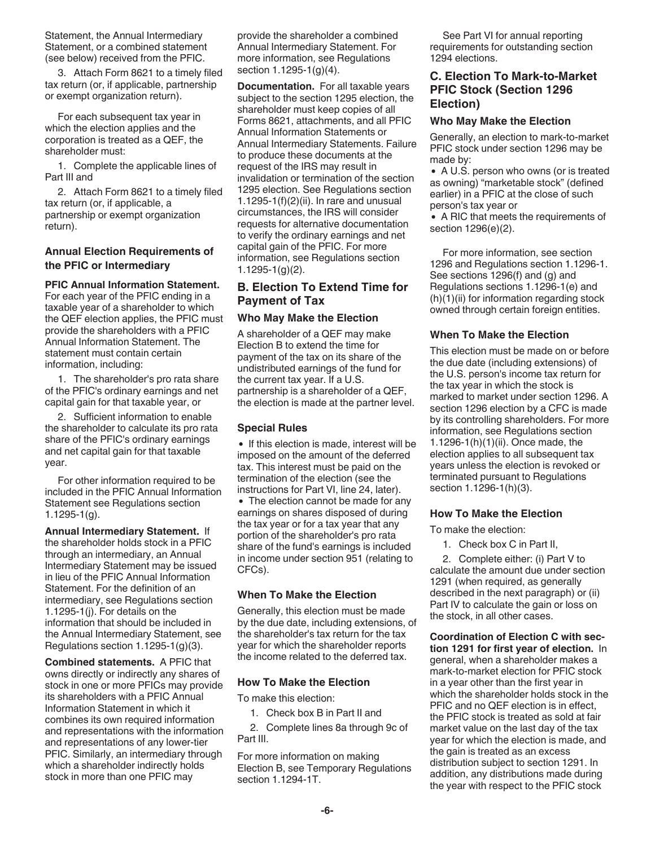Statement, the Annual Intermediary Statement, or a combined statement (see below) received from the PFIC.

3. Attach Form 8621 to a timely filed tax return (or, if applicable, partnership or exempt organization return).

For each subsequent tax year in which the election applies and the corporation is treated as a QEF, the shareholder must:

1. Complete the applicable lines of Part III and

2. Attach Form 8621 to a timely filed tax return (or, if applicable, a partnership or exempt organization return).

#### **Annual Election Requirements of the PFIC or Intermediary**

**PFIC Annual Information Statement.**  For each year of the PFIC ending in a taxable year of a shareholder to which the QEF election applies, the PFIC must provide the shareholders with a PFIC Annual Information Statement. The statement must contain certain information, including:

1. The shareholder's pro rata share of the PFIC's ordinary earnings and net capital gain for that taxable year, or

2. Sufficient information to enable the shareholder to calculate its pro rata share of the PFIC's ordinary earnings and net capital gain for that taxable year.

For other information required to be included in the PFIC Annual Information Statement see Regulations section 1.1295-1(g).

**Annual Intermediary Statement.** If the shareholder holds stock in a PFIC through an intermediary, an Annual Intermediary Statement may be issued in lieu of the PFIC Annual Information Statement. For the definition of an intermediary, see Regulations section 1.1295-1(j). For details on the information that should be included in the Annual Intermediary Statement, see Regulations section 1.1295-1(g)(3).

**Combined statements.** A PFIC that owns directly or indirectly any shares of stock in one or more PFICs may provide its shareholders with a PFIC Annual Information Statement in which it combines its own required information and representations with the information and representations of any lower-tier PFIC. Similarly, an intermediary through which a shareholder indirectly holds stock in more than one PFIC may

provide the shareholder a combined Annual Intermediary Statement. For more information, see Regulations section 1.1295-1(g)(4).

**Documentation.** For all taxable years subject to the section 1295 election, the shareholder must keep copies of all Forms 8621, attachments, and all PFIC Annual Information Statements or Annual Intermediary Statements. Failure to produce these documents at the request of the IRS may result in invalidation or termination of the section 1295 election. See Regulations section 1.1295-1(f) $(2)$ (ii). In rare and unusual circumstances, the IRS will consider requests for alternative documentation to verify the ordinary earnings and net capital gain of the PFIC. For more information, see Regulations section 1.1295-1(g)(2).

## **B. Election To Extend Time for Payment of Tax**

#### **Who May Make the Election**

A shareholder of a QEF may make Election B to extend the time for payment of the tax on its share of the undistributed earnings of the fund for the current tax year. If a U.S. partnership is a shareholder of a QEF, the election is made at the partner level.

#### **Special Rules**

• If this election is made, interest will be imposed on the amount of the deferred tax. This interest must be paid on the termination of the election (see the instructions for Part VI, line 24, later).

• The election cannot be made for any earnings on shares disposed of during the tax year or for a tax year that any portion of the shareholder's pro rata share of the fund's earnings is included in income under section 951 (relating to CFCs).

## **When To Make the Election**

Generally, this election must be made by the due date, including extensions, of the shareholder's tax return for the tax year for which the shareholder reports the income related to the deferred tax.

## **How To Make the Election**

To make this election:

1. Check box B in Part II and

2. Complete lines 8a through 9c of Part III.

For more information on making Election B, see Temporary Regulations section 1.1294-1T.

See Part VI for annual reporting requirements for outstanding section 1294 elections.

# **C. Election To Mark-to-Market PFIC Stock (Section 1296 Election)**

## **Who May Make the Election**

Generally, an election to mark-to-market PFIC stock under section 1296 may be made by:

A U.S. person who owns (or is treated as owning) "marketable stock" (defined earlier) in a PFIC at the close of such person's tax year or

A RIC that meets the requirements of section 1296(e)(2).

For more information, see section 1296 and Regulations section 1.1296-1. See sections 1296(f) and (g) and Regulations sections 1.1296-1(e) and  $(h)(1)(ii)$  for information regarding stock owned through certain foreign entities.

## **When To Make the Election**

This election must be made on or before the due date (including extensions) of the U.S. person's income tax return for the tax year in which the stock is marked to market under section 1296. A section 1296 election by a CFC is made by its controlling shareholders. For more information, see Regulations section 1.1296-1(h)(1)(ii). Once made, the election applies to all subsequent tax years unless the election is revoked or terminated pursuant to Regulations section 1.1296-1(h)(3).

## **How To Make the Election**

To make the election:

1. Check box C in Part II,

2. Complete either: (i) Part V to calculate the amount due under section 1291 (when required, as generally described in the next paragraph) or (ii) Part IV to calculate the gain or loss on the stock, in all other cases.

**Coordination of Election C with section 1291 for first year of election.** In general, when a shareholder makes a mark‐to‐market election for PFIC stock in a year other than the first year in which the shareholder holds stock in the PFIC and no QEF election is in effect, the PFIC stock is treated as sold at fair market value on the last day of the tax year for which the election is made, and the gain is treated as an excess distribution subject to section 1291. In addition, any distributions made during the year with respect to the PFIC stock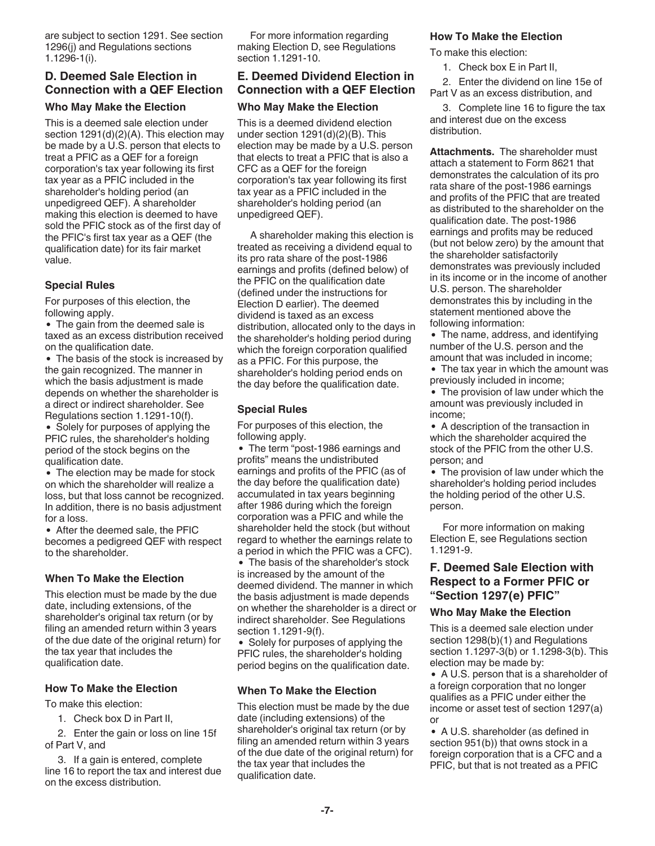are subject to section 1291. See section 1296(j) and Regulations sections 1.1296‐1(i).

# **D. Deemed Sale Election in Connection with a QEF Election**

#### **Who May Make the Election**

This is a deemed sale election under section 1291(d)(2)(A). This election may be made by a U.S. person that elects to treat a PFIC as a QEF for a foreign corporation's tax year following its first tax year as a PFIC included in the shareholder's holding period (an unpedigreed QEF). A shareholder making this election is deemed to have sold the PFIC stock as of the first day of the PFIC's first tax year as a QEF (the qualification date) for its fair market value.

## **Special Rules**

For purposes of this election, the following apply.

• The gain from the deemed sale is taxed as an excess distribution received on the qualification date.

The basis of the stock is increased by the gain recognized. The manner in which the basis adjustment is made depends on whether the shareholder is a direct or indirect shareholder. See Regulations section 1.1291-10(f).

• Solely for purposes of applying the PFIC rules, the shareholder's holding period of the stock begins on the qualification date.

• The election may be made for stock on which the shareholder will realize a loss, but that loss cannot be recognized. In addition, there is no basis adjustment for a loss.

After the deemed sale, the PFIC becomes a pedigreed QEF with respect to the shareholder.

## **When To Make the Election**

This election must be made by the due date, including extensions, of the shareholder's original tax return (or by filing an amended return within 3 years of the due date of the original return) for the tax year that includes the qualification date.

## **How To Make the Election**

To make this election:

1. Check box D in Part II,

2. Enter the gain or loss on line 15f of Part V, and

3. If a gain is entered, complete line 16 to report the tax and interest due on the excess distribution.

For more information regarding making Election D, see Regulations section 1.1291-10.

# **E. Deemed Dividend Election in Connection with a QEF Election**

#### **Who May Make the Election**

This is a deemed dividend election under section 1291(d)(2)(B). This election may be made by a U.S. person that elects to treat a PFIC that is also a CFC as a QEF for the foreign corporation's tax year following its first tax year as a PFIC included in the shareholder's holding period (an unpedigreed QEF).

A shareholder making this election is treated as receiving a dividend equal to its pro rata share of the post-1986 earnings and profits (defined below) of the PFIC on the qualification date (defined under the instructions for Election D earlier). The deemed dividend is taxed as an excess distribution, allocated only to the days in the shareholder's holding period during which the foreign corporation qualified as a PFIC. For this purpose, the shareholder's holding period ends on the day before the qualification date.

# **Special Rules**

For purposes of this election, the following apply.

• The term "post-1986 earnings and profits" means the undistributed earnings and profits of the PFIC (as of the day before the qualification date) accumulated in tax years beginning after 1986 during which the foreign corporation was a PFIC and while the shareholder held the stock (but without regard to whether the earnings relate to a period in which the PFIC was a CFC).

The basis of the shareholder's stock is increased by the amount of the deemed dividend. The manner in which the basis adjustment is made depends on whether the shareholder is a direct or indirect shareholder. See Regulations section 1.1291-9(f).

• Solely for purposes of applying the PFIC rules, the shareholder's holding period begins on the qualification date.

# **When To Make the Election**

This election must be made by the due date (including extensions) of the shareholder's original tax return (or by filing an amended return within 3 years of the due date of the original return) for the tax year that includes the qualification date.

#### **How To Make the Election**

To make this election:

1. Check box E in Part II,

2. Enter the dividend on line 15e of Part V as an excess distribution, and

3. Complete line 16 to figure the tax and interest due on the excess distribution.

**Attachments.** The shareholder must attach a statement to Form 8621 that demonstrates the calculation of its pro rata share of the post-1986 earnings and profits of the PFIC that are treated as distributed to the shareholder on the qualification date. The post-1986 earnings and profits may be reduced (but not below zero) by the amount that the shareholder satisfactorily demonstrates was previously included in its income or in the income of another U.S. person. The shareholder demonstrates this by including in the statement mentioned above the following information:

The name, address, and identifying number of the U.S. person and the amount that was included in income;

- The tax year in which the amount was previously included in income;
- The provision of law under which the amount was previously included in income;

A description of the transaction in which the shareholder acquired the stock of the PFIC from the other U.S. person; and

• The provision of law under which the shareholder's holding period includes the holding period of the other U.S. person.

For more information on making Election E, see Regulations section 1.1291-9.

# **F. Deemed Sale Election with Respect to a Former PFIC or "Section 1297(e) PFIC"**

## **Who May Make the Election**

This is a deemed sale election under section 1298(b)(1) and Regulations section 1.1297-3(b) or 1.1298-3(b). This election may be made by:

A U.S. person that is a shareholder of a foreign corporation that no longer qualifies as a PFIC under either the income or asset test of section 1297(a) or

A U.S. shareholder (as defined in section 951(b)) that owns stock in a foreign corporation that is a CFC and a PFIC, but that is not treated as a PFIC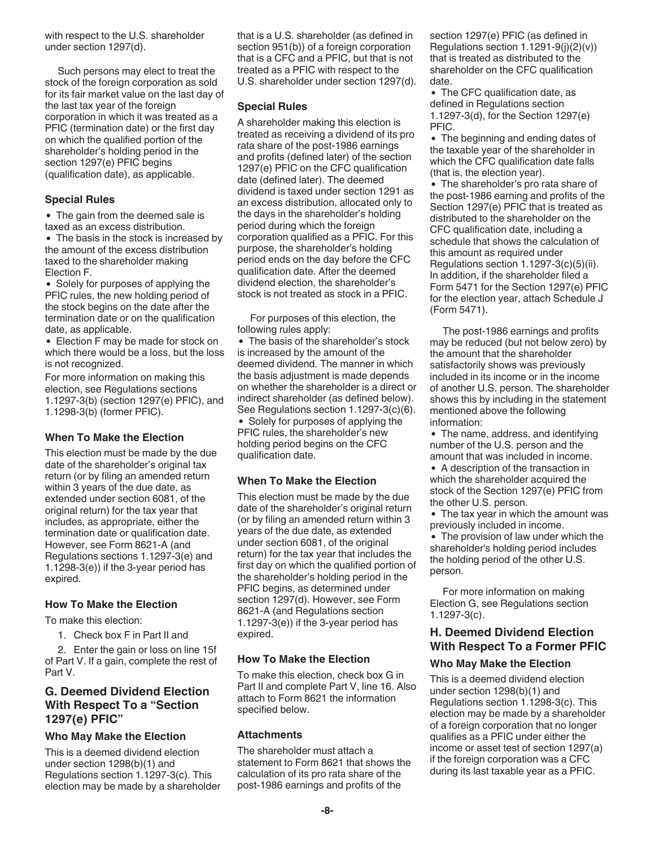with respect to the U.S. shareholder under section 1297(d).

Such persons may elect to treat the stock of the foreign corporation as sold for its fair market value on the last day of the last tax year of the foreign corporation in which it was treated as a PFIC (termination date) or the first day on which the qualified portion of the shareholder's holding period in the section 1297(e) PFIC begins (qualification date), as applicable.

#### **Special Rules**

• The gain from the deemed sale is taxed as an excess distribution. • The basis in the stock is increased by the amount of the excess distribution taxed to the shareholder making Election F.

• Solely for purposes of applying the PFIC rules, the new holding period of the stock begins on the date after the termination date or on the qualification date, as applicable.

Election F may be made for stock on which there would be a loss, but the loss is not recognized.

For more information on making this election, see Regulations sections 1.1297-3(b) (section 1297(e) PFIC), and 1.1298-3(b) (former PFIC).

## **When To Make the Election**

This election must be made by the due date of the shareholder's original tax return (or by filing an amended return within 3 years of the due date, as extended under section 6081, of the original return) for the tax year that includes, as appropriate, either the termination date or qualification date. However, see Form 8621-A (and Regulations sections 1.1297-3(e) and 1.1298-3(e)) if the 3-year period has expired.

#### **How To Make the Election**

To make this election:

1. Check box F in Part II and

2. Enter the gain or loss on line 15f of Part V. If a gain, complete the rest of Part V.

# **G. Deemed Dividend Election With Respect To a "Section 1297(e) PFIC"**

#### **Who May Make the Election**

This is a deemed dividend election under section 1298(b)(1) and Regulations section 1.1297-3(c). This election may be made by a shareholder that is a U.S. shareholder (as defined in section 951(b)) of a foreign corporation that is a CFC and a PFIC, but that is not treated as a PFIC with respect to the U.S. shareholder under section 1297(d).

#### **Special Rules**

A shareholder making this election is treated as receiving a dividend of its pro rata share of the post-1986 earnings and profits (defined later) of the section 1297(e) PFIC on the CFC qualification date (defined later). The deemed dividend is taxed under section 1291 as an excess distribution, allocated only to the days in the shareholder's holding period during which the foreign corporation qualified as a PFIC. For this purpose, the shareholder's holding period ends on the day before the CFC qualification date. After the deemed dividend election, the shareholder's stock is not treated as stock in a PFIC.

For purposes of this election, the following rules apply:

• The basis of the shareholder's stock is increased by the amount of the deemed dividend. The manner in which the basis adjustment is made depends on whether the shareholder is a direct or indirect shareholder (as defined below). See Regulations section 1.1297-3(c)(6).

• Solely for purposes of applying the PFIC rules, the shareholder's new holding period begins on the CFC qualification date.

## **When To Make the Election**

This election must be made by the due date of the shareholder's original return (or by filing an amended return within 3 years of the due date, as extended under section 6081, of the original return) for the tax year that includes the first day on which the qualified portion of the shareholder's holding period in the PFIC begins, as determined under section 1297(d). However, see Form 8621-A (and Regulations section 1.1297-3(e)) if the 3-year period has expired.

## **How To Make the Election**

To make this election, check box G in Part II and complete Part V, line 16. Also attach to Form 8621 the information specified below.

#### **Attachments**

The shareholder must attach a statement to Form 8621 that shows the calculation of its pro rata share of the post-1986 earnings and profits of the

section 1297(e) PFIC (as defined in Regulations section 1.1291-9(j)(2)(v)) that is treated as distributed to the shareholder on the CFC qualification date.

• The CFC qualification date, as defined in Regulations section 1.1297-3(d), for the Section 1297(e) PFIC.

The beginning and ending dates of the taxable year of the shareholder in which the CFC qualification date falls (that is, the election year).

The shareholder's pro rata share of the post-1986 earning and profits of the Section 1297(e) PFIC that is treated as distributed to the shareholder on the CFC qualification date, including a schedule that shows the calculation of this amount as required under Regulations section 1.1297-3(c)(5)(ii). In addition, if the shareholder filed a Form 5471 for the Section 1297(e) PFIC for the election year, attach Schedule J (Form 5471).

The post-1986 earnings and profits may be reduced (but not below zero) by the amount that the shareholder satisfactorily shows was previously included in its income or in the income of another U.S. person. The shareholder shows this by including in the statement mentioned above the following information:

• The name, address, and identifying number of the U.S. person and the amount that was included in income.

• A description of the transaction in which the shareholder acquired the stock of the Section 1297(e) PFIC from the other U.S. person.

• The tax year in which the amount was previously included in income.

• The provision of law under which the shareholder's holding period includes the holding period of the other U.S. person.

For more information on making Election G, see Regulations section 1.1297-3(c).

## **H. Deemed Dividend Election With Respect To a Former PFIC**

#### **Who May Make the Election**

This is a deemed dividend election under section 1298(b)(1) and Regulations section 1.1298-3(c). This election may be made by a shareholder of a foreign corporation that no longer qualifies as a PFIC under either the income or asset test of section 1297(a) if the foreign corporation was a CFC during its last taxable year as a PFIC.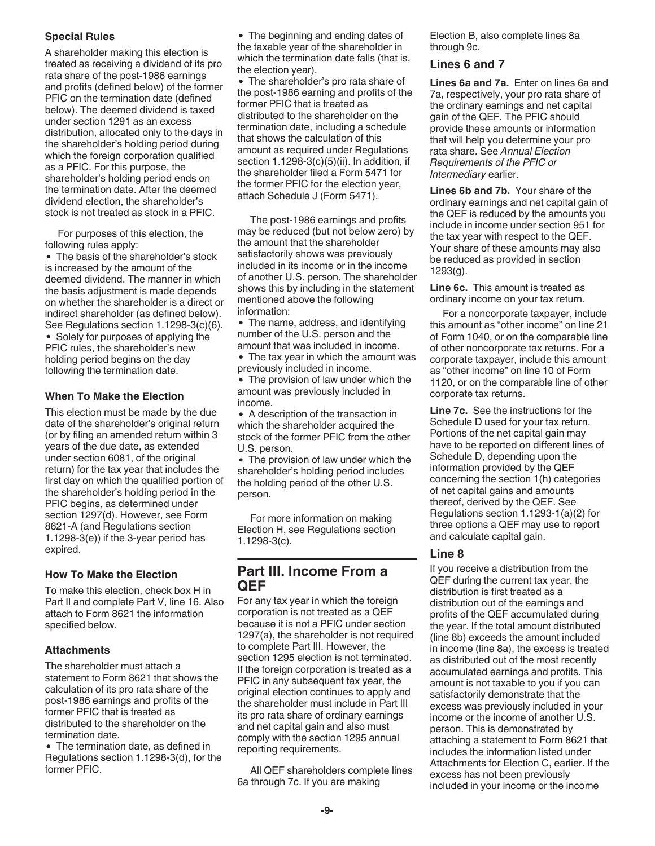#### **Special Rules**

A shareholder making this election is treated as receiving a dividend of its pro rata share of the post-1986 earnings and profits (defined below) of the former PFIC on the termination date (defined below). The deemed dividend is taxed under section 1291 as an excess distribution, allocated only to the days in the shareholder's holding period during which the foreign corporation qualified as a PFIC. For this purpose, the shareholder's holding period ends on the termination date. After the deemed dividend election, the shareholder's stock is not treated as stock in a PFIC.

For purposes of this election, the following rules apply:

• The basis of the shareholder's stock is increased by the amount of the deemed dividend. The manner in which the basis adjustment is made depends on whether the shareholder is a direct or indirect shareholder (as defined below). See Regulations section 1.1298-3(c)(6). • Solely for purposes of applying the PFIC rules, the shareholder's new holding period begins on the day following the termination date.

#### **When To Make the Election**

This election must be made by the due date of the shareholder's original return (or by filing an amended return within 3 years of the due date, as extended under section 6081, of the original return) for the tax year that includes the first day on which the qualified portion of the shareholder's holding period in the PFIC begins, as determined under section 1297(d). However, see Form 8621-A (and Regulations section 1.1298-3(e)) if the 3-year period has expired.

#### **How To Make the Election**

To make this election, check box H in Part II and complete Part V, line 16. Also attach to Form 8621 the information specified below.

#### **Attachments**

The shareholder must attach a statement to Form 8621 that shows the calculation of its pro rata share of the post-1986 earnings and profits of the former PFIC that is treated as distributed to the shareholder on the termination date.

The termination date, as defined in Regulations section 1.1298-3(d), for the former PFIC.

The beginning and ending dates of the taxable year of the shareholder in which the termination date falls (that is, the election year).

The shareholder's pro rata share of the post-1986 earning and profits of the former PFIC that is treated as distributed to the shareholder on the termination date, including a schedule that shows the calculation of this amount as required under Regulations section 1.1298-3(c)(5)(ii). In addition, if the shareholder filed a Form 5471 for the former PFIC for the election year, attach Schedule J (Form 5471).

The post-1986 earnings and profits may be reduced (but not below zero) by the amount that the shareholder satisfactorily shows was previously included in its income or in the income of another U.S. person. The shareholder shows this by including in the statement mentioned above the following information:

• The name, address, and identifying number of the U.S. person and the amount that was included in income.

The tax year in which the amount was previously included in income.

• The provision of law under which the amount was previously included in income.

• A description of the transaction in which the shareholder acquired the stock of the former PFIC from the other U.S. person.

• The provision of law under which the shareholder's holding period includes the holding period of the other U.S. person.

For more information on making Election H, see Regulations section 1.1298-3(c).

# **Part III. Income From a QEF**

For any tax year in which the foreign corporation is not treated as a QEF because it is not a PFIC under section 1297(a), the shareholder is not required to complete Part III. However, the section 1295 election is not terminated. If the foreign corporation is treated as a PFIC in any subsequent tax year, the original election continues to apply and the shareholder must include in Part III its pro rata share of ordinary earnings and net capital gain and also must comply with the section 1295 annual reporting requirements.

All QEF shareholders complete lines 6a through 7c. If you are making

Election B, also complete lines 8a through 9c.

## **Lines 6 and 7**

**Lines 6a and 7a.** Enter on lines 6a and 7a, respectively, your pro rata share of the ordinary earnings and net capital gain of the QEF. The PFIC should provide these amounts or information that will help you determine your pro rata share. See *Annual Election Requirements of the PFIC or Intermediary* earlier.

**Lines 6b and 7b.** Your share of the ordinary earnings and net capital gain of the QEF is reduced by the amounts you include in income under section 951 for the tax year with respect to the QEF. Your share of these amounts may also be reduced as provided in section 1293(g).

**Line 6c.** This amount is treated as ordinary income on your tax return.

For a noncorporate taxpayer, include this amount as "other income" on line 21 of Form 1040, or on the comparable line of other noncorporate tax returns. For a corporate taxpayer, include this amount as "other income" on line 10 of Form 1120, or on the comparable line of other corporate tax returns.

**Line 7c.** See the instructions for the Schedule D used for your tax return. Portions of the net capital gain may have to be reported on different lines of Schedule D, depending upon the information provided by the QEF concerning the section 1(h) categories of net capital gains and amounts thereof, derived by the QEF. See Regulations section 1.1293-1(a)(2) for three options a QEF may use to report and calculate capital gain.

#### **Line 8**

If you receive a distribution from the QEF during the current tax year, the distribution is first treated as a distribution out of the earnings and profits of the QEF accumulated during the year. If the total amount distributed (line 8b) exceeds the amount included in income (line 8a), the excess is treated as distributed out of the most recently accumulated earnings and profits. This amount is not taxable to you if you can satisfactorily demonstrate that the excess was previously included in your income or the income of another U.S. person. This is demonstrated by attaching a statement to Form 8621 that includes the information listed under Attachments for Election C, earlier. If the excess has not been previously included in your income or the income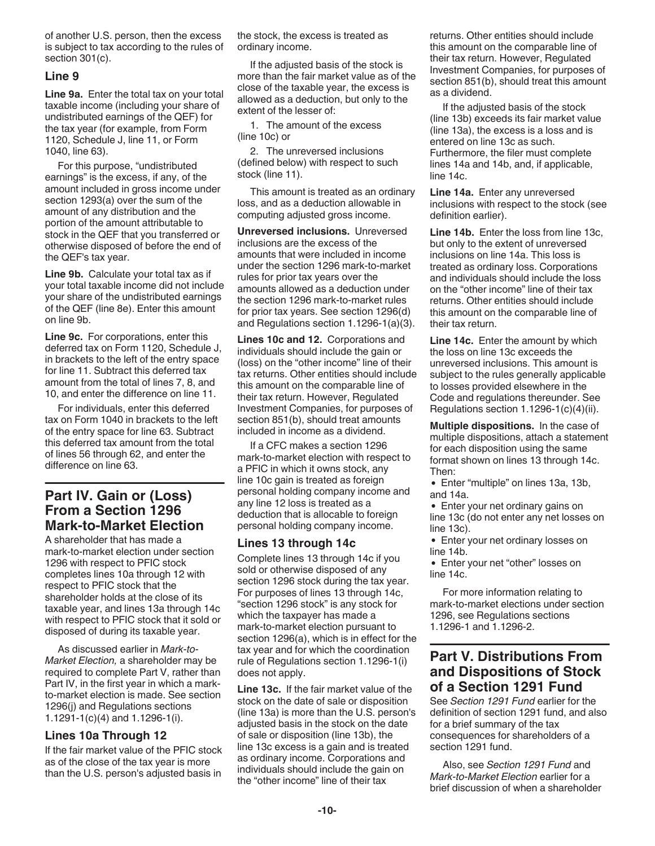of another U.S. person, then the excess is subject to tax according to the rules of section 301(c).

## **Line 9**

**Line 9a.** Enter the total tax on your total taxable income (including your share of undistributed earnings of the QEF) for the tax year (for example, from Form 1120, Schedule J, line 11, or Form 1040, line 63).

For this purpose, "undistributed earnings" is the excess, if any, of the amount included in gross income under section 1293(a) over the sum of the amount of any distribution and the portion of the amount attributable to stock in the QEF that you transferred or otherwise disposed of before the end of the QEF's tax year.

**Line 9b.** Calculate your total tax as if your total taxable income did not include your share of the undistributed earnings of the QEF (line 8e). Enter this amount on line 9b.

**Line 9c.** For corporations, enter this deferred tax on Form 1120, Schedule J, in brackets to the left of the entry space for line 11. Subtract this deferred tax amount from the total of lines 7, 8, and 10, and enter the difference on line 11.

For individuals, enter this deferred tax on Form 1040 in brackets to the left of the entry space for line 63. Subtract this deferred tax amount from the total of lines 56 through 62, and enter the difference on line 63.

# **Part IV. Gain or (Loss) From a Section 1296 Mark-to-Market Election**

A shareholder that has made a mark-to-market election under section 1296 with respect to PFIC stock completes lines 10a through 12 with respect to PFIC stock that the shareholder holds at the close of its taxable year, and lines 13a through 14c with respect to PFIC stock that it sold or disposed of during its taxable year.

As discussed earlier in *Mark‐to‐ Market Election,* a shareholder may be required to complete Part V, rather than Part IV, in the first year in which a mark‐ to‐market election is made. See section 1296(j) and Regulations sections 1.1291‐1(c)(4) and 1.1296‐1(i).

## **Lines 10a Through 12**

If the fair market value of the PFIC stock as of the close of the tax year is more than the U.S. person's adjusted basis in

the stock, the excess is treated as ordinary income.

If the adjusted basis of the stock is more than the fair market value as of the close of the taxable year, the excess is allowed as a deduction, but only to the extent of the lesser of:

1. The amount of the excess (line 10c) or

2. The unreversed inclusions (defined below) with respect to such stock (line 11).

This amount is treated as an ordinary loss, and as a deduction allowable in computing adjusted gross income.

**Unreversed inclusions.** Unreversed inclusions are the excess of the amounts that were included in income under the section 1296 mark-to-market rules for prior tax years over the amounts allowed as a deduction under the section 1296 mark-to-market rules for prior tax years. See section 1296(d) and Regulations section 1.1296-1(a)(3).

**Lines 10c and 12.** Corporations and individuals should include the gain or (loss) on the "other income" line of their tax returns. Other entities should include this amount on the comparable line of their tax return. However, Regulated Investment Companies, for purposes of section 851(b), should treat amounts included in income as a dividend.

If a CFC makes a section 1296 mark-to-market election with respect to a PFIC in which it owns stock, any line 10c gain is treated as foreign personal holding company income and any line 12 loss is treated as a deduction that is allocable to foreign personal holding company income.

## **Lines 13 through 14c**

Complete lines 13 through 14c if you sold or otherwise disposed of any section 1296 stock during the tax year. For purposes of lines 13 through 14c, "section 1296 stock" is any stock for which the taxpayer has made a mark-to-market election pursuant to section 1296(a), which is in effect for the tax year and for which the coordination rule of Regulations section 1.1296-1(i) does not apply.

**Line 13c.** If the fair market value of the stock on the date of sale or disposition (line 13a) is more than the U.S. person's adjusted basis in the stock on the date of sale or disposition (line 13b), the line 13c excess is a gain and is treated as ordinary income. Corporations and individuals should include the gain on the "other income" line of their tax

returns. Other entities should include this amount on the comparable line of their tax return. However, Regulated Investment Companies, for purposes of section 851(b), should treat this amount as a dividend.

If the adjusted basis of the stock (line 13b) exceeds its fair market value (line 13a), the excess is a loss and is entered on line 13c as such. Furthermore, the filer must complete lines 14a and 14b, and, if applicable, line 14c.

**Line 14a.** Enter any unreversed inclusions with respect to the stock (see definition earlier).

**Line 14b.** Enter the loss from line 13c, but only to the extent of unreversed inclusions on line 14a. This loss is treated as ordinary loss. Corporations and individuals should include the loss on the "other income" line of their tax returns. Other entities should include this amount on the comparable line of their tax return.

**Line 14c.** Enter the amount by which the loss on line 13c exceeds the unreversed inclusions. This amount is subject to the rules generally applicable to losses provided elsewhere in the Code and regulations thereunder. See Regulations section 1.1296-1(c)(4)(ii).

**Multiple dispositions.** In the case of multiple dispositions, attach a statement for each disposition using the same format shown on lines 13 through 14c. Then:

- Enter "multiple" on lines 13a, 13b, and 14a.
- Enter your net ordinary gains on line 13c (do not enter any net losses on line 13c).
- Enter your net ordinary losses on line 14b.

Enter your net "other" losses on line 14c.

For more information relating to mark-to-market elections under section 1296, see Regulations sections 1.1296-1 and 1.1296-2.

# **Part V. Distributions From and Dispositions of Stock of a Section 1291 Fund**

See *Section 1291 Fund* earlier for the definition of section 1291 fund, and also for a brief summary of the tax consequences for shareholders of a section 1291 fund.

Also, see *Section 1291 Fund* and *Mark‐to‐Market Election* earlier for a brief discussion of when a shareholder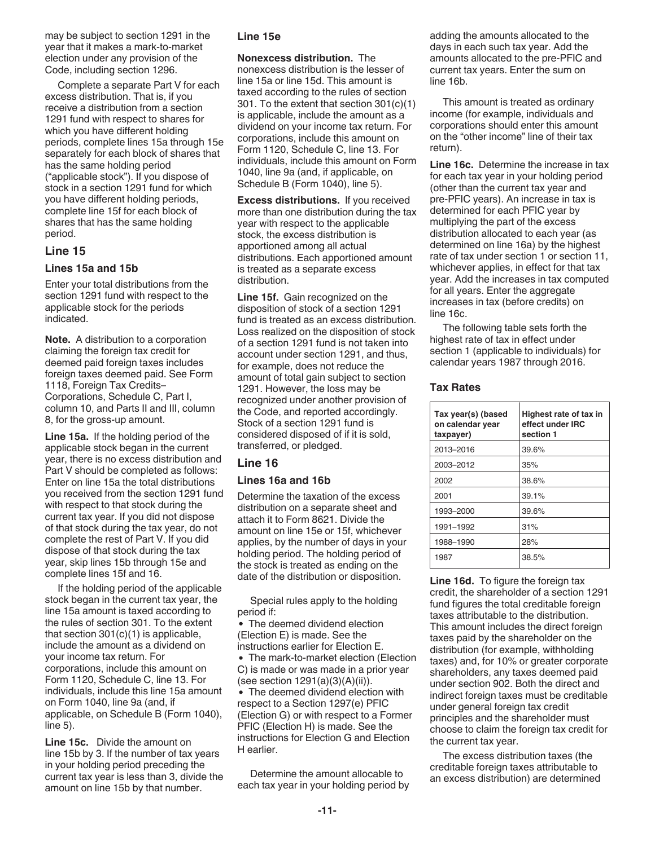may be subject to section 1291 in the year that it makes a mark‐to-market election under any provision of the Code, including section 1296.

Complete a separate Part V for each excess distribution. That is, if you receive a distribution from a section 1291 fund with respect to shares for which you have different holding periods, complete lines 15a through 15e separately for each block of shares that has the same holding period ("applicable stock"). If you dispose of stock in a section 1291 fund for which you have different holding periods, complete line 15f for each block of shares that has the same holding period.

#### **Line 15**

#### **Lines 15a and 15b**

Enter your total distributions from the section 1291 fund with respect to the applicable stock for the periods indicated.

**Note.** A distribution to a corporation claiming the foreign tax credit for deemed paid foreign taxes includes foreign taxes deemed paid. See Form 1118, Foreign Tax Credits– Corporations, Schedule C, Part I, column 10, and Parts II and III, column 8, for the gross-up amount.

**Line 15a.** If the holding period of the applicable stock began in the current year, there is no excess distribution and Part V should be completed as follows: Enter on line 15a the total distributions you received from the section 1291 fund with respect to that stock during the current tax year. If you did not dispose of that stock during the tax year, do not complete the rest of Part V. If you did dispose of that stock during the tax year, skip lines 15b through 15e and complete lines 15f and 16.

If the holding period of the applicable stock began in the current tax year, the line 15a amount is taxed according to the rules of section 301. To the extent that section  $301(c)(1)$  is applicable, include the amount as a dividend on your income tax return. For corporations, include this amount on Form 1120, Schedule C, line 13. For individuals, include this line 15a amount on Form 1040, line 9a (and, if applicable, on Schedule B (Form 1040), line 5).

**Line 15c.** Divide the amount on line 15b by 3. If the number of tax years in your holding period preceding the current tax year is less than 3, divide the amount on line 15b by that number.

#### **Line 15e**

**Nonexcess distribution.** The nonexcess distribution is the lesser of line 15a or line 15d. This amount is taxed according to the rules of section 301. To the extent that section 301(c)(1) is applicable, include the amount as a dividend on your income tax return. For corporations, include this amount on Form 1120, Schedule C, line 13. For individuals, include this amount on Form 1040, line 9a (and, if applicable, on Schedule B (Form 1040), line 5).

**Excess distributions.** If you received more than one distribution during the tax year with respect to the applicable stock, the excess distribution is apportioned among all actual distributions. Each apportioned amount is treated as a separate excess distribution.

**Line 15f.** Gain recognized on the disposition of stock of a section 1291 fund is treated as an excess distribution. Loss realized on the disposition of stock of a section 1291 fund is not taken into account under section 1291, and thus, for example, does not reduce the amount of total gain subject to section 1291. However, the loss may be recognized under another provision of the Code, and reported accordingly. Stock of a section 1291 fund is considered disposed of if it is sold, transferred, or pledged.

## **Line 16**

#### **Lines 16a and 16b**

Determine the taxation of the excess distribution on a separate sheet and attach it to Form 8621. Divide the amount on line 15e or 15f, whichever applies, by the number of days in your holding period. The holding period of the stock is treated as ending on the date of the distribution or disposition.

Special rules apply to the holding period if:

The deemed dividend election (Election E) is made. See the instructions earlier for Election E. The mark-to-market election (Election C) is made or was made in a prior year (see section 1291(a)(3)(A)(ii)).

The deemed dividend election with respect to a Section 1297(e) PFIC (Election G) or with respect to a Former PFIC (Election H) is made. See the instructions for Election G and Election H earlier.

Determine the amount allocable to each tax year in your holding period by adding the amounts allocated to the days in each such tax year. Add the amounts allocated to the pre-PFIC and current tax years. Enter the sum on line 16b.

This amount is treated as ordinary income (for example, individuals and corporations should enter this amount on the "other income" line of their tax return).

**Line 16c.** Determine the increase in tax for each tax year in your holding period (other than the current tax year and pre-PFIC years). An increase in tax is determined for each PFIC year by multiplying the part of the excess distribution allocated to each year (as determined on line 16a) by the highest rate of tax under section 1 or section 11, whichever applies, in effect for that tax year. Add the increases in tax computed for all years. Enter the aggregate increases in tax (before credits) on line 16c.

The following table sets forth the highest rate of tax in effect under section 1 (applicable to individuals) for calendar years 1987 through 2016.

#### **Tax Rates**

| Tax year(s) (based<br>on calendar year<br>taxpayer) | Highest rate of tax in<br>effect under IRC<br>section 1 |
|-----------------------------------------------------|---------------------------------------------------------|
| 2013-2016                                           | 39.6%                                                   |
| 2003-2012                                           | 35%                                                     |
| 2002                                                | 38.6%                                                   |
| 2001                                                | 39.1%                                                   |
| 1993-2000                                           | 39.6%                                                   |
| 1991-1992                                           | 31%                                                     |
| 1988-1990                                           | 28%                                                     |
| 1987                                                | 38.5%                                                   |

**Line 16d.** To figure the foreign tax credit, the shareholder of a section 1291 fund figures the total creditable foreign taxes attributable to the distribution. This amount includes the direct foreign taxes paid by the shareholder on the distribution (for example, withholding taxes) and, for 10% or greater corporate shareholders, any taxes deemed paid under section 902. Both the direct and indirect foreign taxes must be creditable under general foreign tax credit principles and the shareholder must choose to claim the foreign tax credit for the current tax year.

The excess distribution taxes (the creditable foreign taxes attributable to an excess distribution) are determined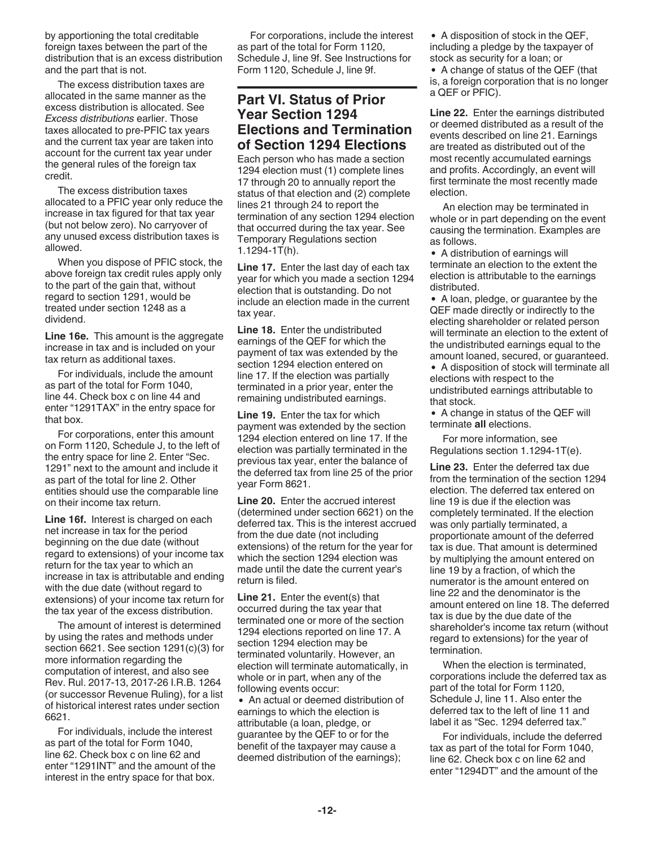by apportioning the total creditable foreign taxes between the part of the distribution that is an excess distribution and the part that is not.

The excess distribution taxes are allocated in the same manner as the excess distribution is allocated. See *Excess distributions* earlier. Those taxes allocated to pre-PFIC tax years and the current tax year are taken into account for the current tax year under the general rules of the foreign tax credit.

The excess distribution taxes allocated to a PFIC year only reduce the increase in tax figured for that tax year (but not below zero). No carryover of any unused excess distribution taxes is allowed.

When you dispose of PFIC stock, the above foreign tax credit rules apply only to the part of the gain that, without regard to section 1291, would be treated under section 1248 as a dividend.

**Line 16e.** This amount is the aggregate increase in tax and is included on your tax return as additional taxes.

For individuals, include the amount as part of the total for Form 1040, line 44. Check box c on line 44 and enter "1291TAX" in the entry space for that box.

For corporations, enter this amount on Form 1120, Schedule J, to the left of the entry space for line 2. Enter "Sec. 1291" next to the amount and include it as part of the total for line 2. Other entities should use the comparable line on their income tax return.

**Line 16f.** Interest is charged on each net increase in tax for the period beginning on the due date (without regard to extensions) of your income tax return for the tax year to which an increase in tax is attributable and ending with the due date (without regard to extensions) of your income tax return for the tax year of the excess distribution.

The amount of interest is determined by using the rates and methods under section 6621. See section 1291(c)(3) for more information regarding the computation of interest, and also see Rev. Rul. 2017-13, 2017-26 I.R.B. 1264 (or successor Revenue Ruling), for a list of historical interest rates under section 6621.

For individuals, include the interest as part of the total for Form 1040, line 62. Check box c on line 62 and enter "1291INT" and the amount of the interest in the entry space for that box.

For corporations, include the interest as part of the total for Form 1120, Schedule J, line 9f. See Instructions for Form 1120, Schedule J, line 9f.

# **Part VI. Status of Prior Year Section 1294 Elections and Termination of Section 1294 Elections**

Each person who has made a section 1294 election must (1) complete lines 17 through 20 to annually report the status of that election and (2) complete lines 21 through 24 to report the termination of any section 1294 election that occurred during the tax year. See Temporary Regulations section 1.1294-1T(h).

**Line 17.** Enter the last day of each tax year for which you made a section 1294 election that is outstanding. Do not include an election made in the current tax year.

**Line 18.** Enter the undistributed earnings of the QEF for which the payment of tax was extended by the section 1294 election entered on line 17. If the election was partially terminated in a prior year, enter the remaining undistributed earnings.

**Line 19.** Enter the tax for which payment was extended by the section 1294 election entered on line 17. If the election was partially terminated in the previous tax year, enter the balance of the deferred tax from line 25 of the prior year Form 8621.

**Line 20.** Enter the accrued interest (determined under section 6621) on the deferred tax. This is the interest accrued from the due date (not including extensions) of the return for the year for which the section 1294 election was made until the date the current year's return is filed.

**Line 21.** Enter the event(s) that occurred during the tax year that terminated one or more of the section 1294 elections reported on line 17. A section 1294 election may be terminated voluntarily. However, an election will terminate automatically, in whole or in part, when any of the following events occur:

An actual or deemed distribution of earnings to which the election is attributable (a loan, pledge, or guarantee by the QEF to or for the benefit of the taxpayer may cause a deemed distribution of the earnings);

• A disposition of stock in the QEF, including a pledge by the taxpayer of stock as security for a loan; or

• A change of status of the QEF (that is, a foreign corporation that is no longer a QEF or PFIC).

**Line 22.** Enter the earnings distributed or deemed distributed as a result of the events described on line 21. Earnings are treated as distributed out of the most recently accumulated earnings and profits. Accordingly, an event will first terminate the most recently made election.

An election may be terminated in whole or in part depending on the event causing the termination. Examples are as follows.

A distribution of earnings will terminate an election to the extent the election is attributable to the earnings distributed.

A loan, pledge, or guarantee by the QEF made directly or indirectly to the electing shareholder or related person will terminate an election to the extent of the undistributed earnings equal to the amount loaned, secured, or guaranteed.

A disposition of stock will terminate all elections with respect to the undistributed earnings attributable to that stock.

A change in status of the QEF will terminate **all** elections.

For more information, see Regulations section 1.1294-1T(e).

**Line 23.** Enter the deferred tax due from the termination of the section 1294 election. The deferred tax entered on line 19 is due if the election was completely terminated. If the election was only partially terminated, a proportionate amount of the deferred tax is due. That amount is determined by multiplying the amount entered on line 19 by a fraction, of which the numerator is the amount entered on line 22 and the denominator is the amount entered on line 18. The deferred tax is due by the due date of the shareholder's income tax return (without regard to extensions) for the year of termination.

When the election is terminated, corporations include the deferred tax as part of the total for Form 1120, Schedule J, line 11. Also enter the deferred tax to the left of line 11 and label it as "Sec. 1294 deferred tax."

For individuals, include the deferred tax as part of the total for Form 1040, line 62. Check box c on line 62 and enter "1294DT" and the amount of the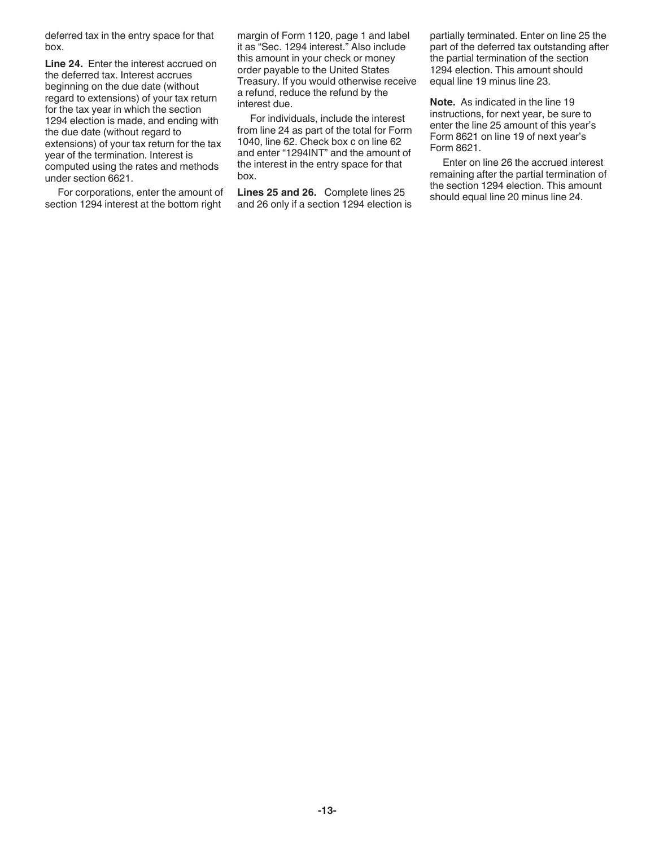deferred tax in the entry space for that box.

**Line 24.** Enter the interest accrued on the deferred tax. Interest accrues beginning on the due date (without regard to extensions) of your tax return for the tax year in which the section 1294 election is made, and ending with the due date (without regard to extensions) of your tax return for the tax year of the termination. Interest is computed using the rates and methods under section 6621.

For corporations, enter the amount of section 1294 interest at the bottom right

margin of Form 1120, page 1 and label it as "Sec. 1294 interest." Also include this amount in your check or money order payable to the United States Treasury. If you would otherwise receive a refund, reduce the refund by the interest due.

For individuals, include the interest from line 24 as part of the total for Form 1040, line 62. Check box c on line 62 and enter "1294INT" and the amount of the interest in the entry space for that box.

**Lines 25 and 26.** Complete lines 25 and 26 only if a section 1294 election is

partially terminated. Enter on line 25 the part of the deferred tax outstanding after the partial termination of the section 1294 election. This amount should equal line 19 minus line 23.

**Note.** As indicated in the line 19 instructions, for next year, be sure to enter the line 25 amount of this year's Form 8621 on line 19 of next year's Form 8621.

Enter on line 26 the accrued interest remaining after the partial termination of the section 1294 election. This amount should equal line 20 minus line 24.